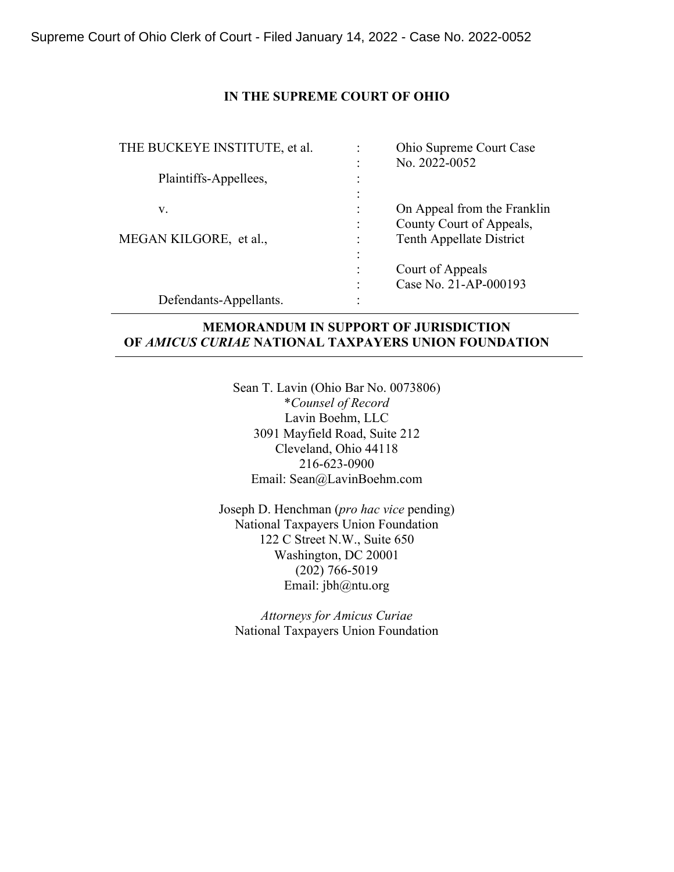### **IN THE SUPREME COURT OF OHIO**

|                                   | <b>Ohio Supreme Court Case</b> |
|-----------------------------------|--------------------------------|
|                                   | No. 2022-0052                  |
| ٠<br>٠                            |                                |
| $\bullet$<br>$\ddot{\phantom{0}}$ |                                |
|                                   | On Appeal from the Franklin    |
| $\ddot{\cdot}$                    | County Court of Appeals,       |
|                                   | Tenth Appellate District       |
| ٠                                 |                                |
| $\bullet$                         | Court of Appeals               |
| ٠                                 | Case No. 21-AP-000193          |
| ٠                                 |                                |
|                                   |                                |

## **MEMORANDUM IN SUPPORT OF JURISDICTION OF** *AMICUS CURIAE* **NATIONAL TAXPAYERS UNION FOUNDATION**

Sean T. Lavin (Ohio Bar No. 0073806) \**Counsel of Record* Lavin Boehm, LLC 3091 Mayfield Road, Suite 212 Cleveland, Ohio 44118 216-623-0900 Email: Sean@LavinBoehm.com

Joseph D. Henchman (*pro hac vice* pending) National Taxpayers Union Foundation 122 C Street N.W., Suite 650 Washington, DC 20001 (202) 766-5019 Email: jbh@ntu.org

*Attorneys for Amicus Curiae* National Taxpayers Union Foundation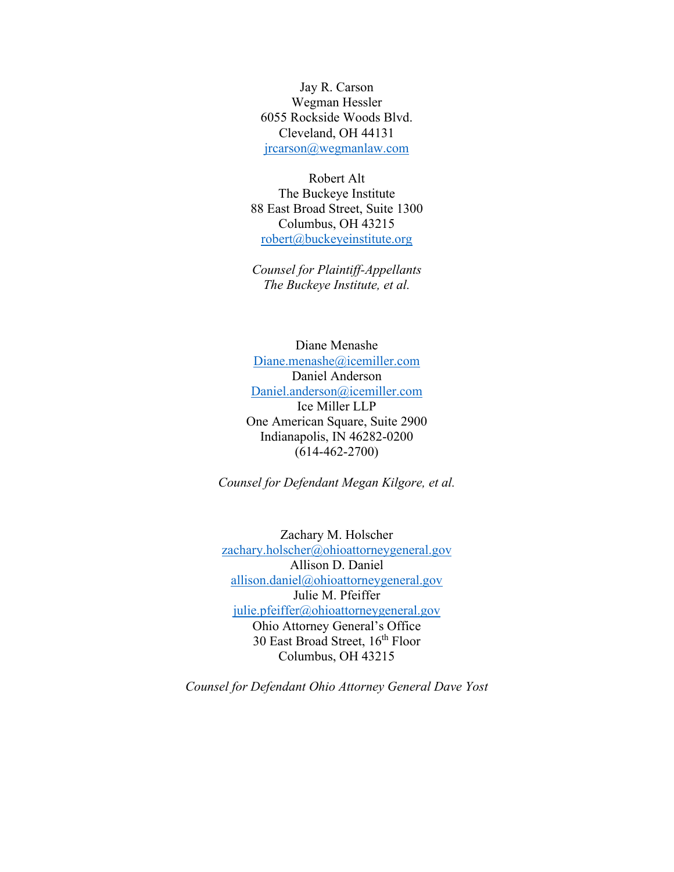Jay R. Carson Wegman Hessler 6055 Rockside Woods Blvd. Cleveland, OH 44131 [jrcarson@wegmanlaw.com](mailto:jrcarson@wegmanlaw.com)

Robert Alt The Buckeye Institute 88 East Broad Street, Suite 1300 Columbus, OH 43215 [robert@buckeyeinstitute.org](mailto:robert@buckeyeinstitute.org)

*Counsel for Plaintiff-Appellants The Buckeye Institute, et al.*

Diane Menashe [Diane.menashe@icemiller.com](mailto:Diane.menashe@icemiller.com) Daniel Anderson [Daniel.anderson@icemiller.com](mailto:Daniel.anderson@icemiller.com) Ice Miller LLP One American Square, Suite 2900 Indianapolis, IN 46282-0200 (614-462-2700)

*Counsel for Defendant Megan Kilgore, et al.*

Zachary M. Holscher [zachary.holscher@ohioattorneygeneral.gov](mailto:zachary.holscher@ohioattorneygeneral.gov) Allison D. Daniel [allison.daniel@ohioattorneygeneral.gov](mailto:allison.daniel@ohioattorneygeneral.gov) Julie M. Pfeiffer [julie.pfeiffer@ohioattorneygeneral.gov](mailto:julie.pfeiffer@ohioattorneygeneral.gov) Ohio Attorney General's Office 30 East Broad Street, 16<sup>th</sup> Floor Columbus, OH 43215

*Counsel for Defendant Ohio Attorney General Dave Yost*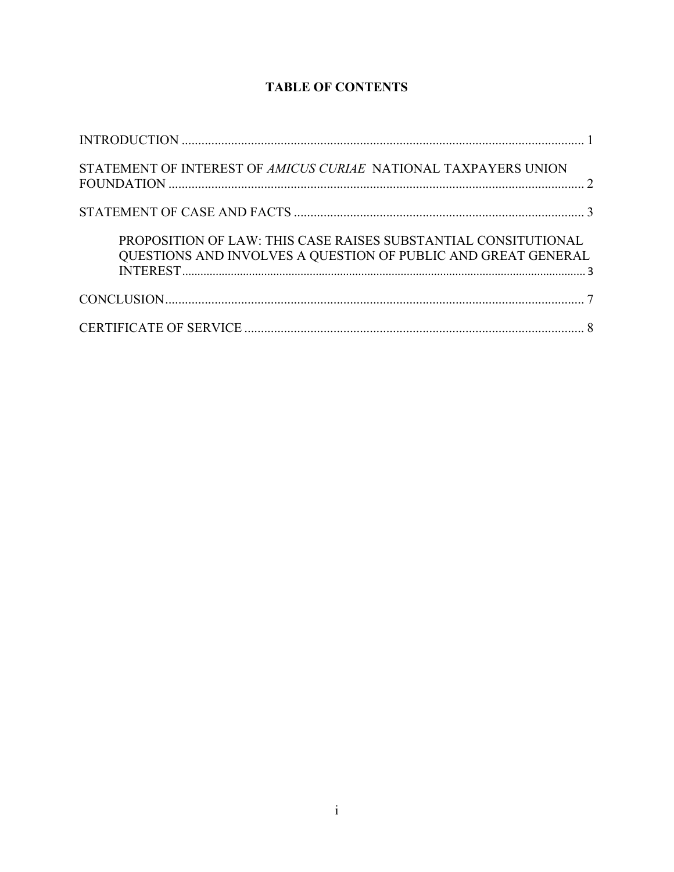# **TABLE OF CONTENTS**

| STATEMENT OF INTEREST OF AMICUS CURIAE NATIONAL TAXPAYERS UNION                                                                 |  |
|---------------------------------------------------------------------------------------------------------------------------------|--|
|                                                                                                                                 |  |
| PROPOSITION OF LAW: THIS CASE RAISES SUBSTANTIAL CONSITUTIONAL<br>QUESTIONS AND INVOLVES A QUESTION OF PUBLIC AND GREAT GENERAL |  |
|                                                                                                                                 |  |
|                                                                                                                                 |  |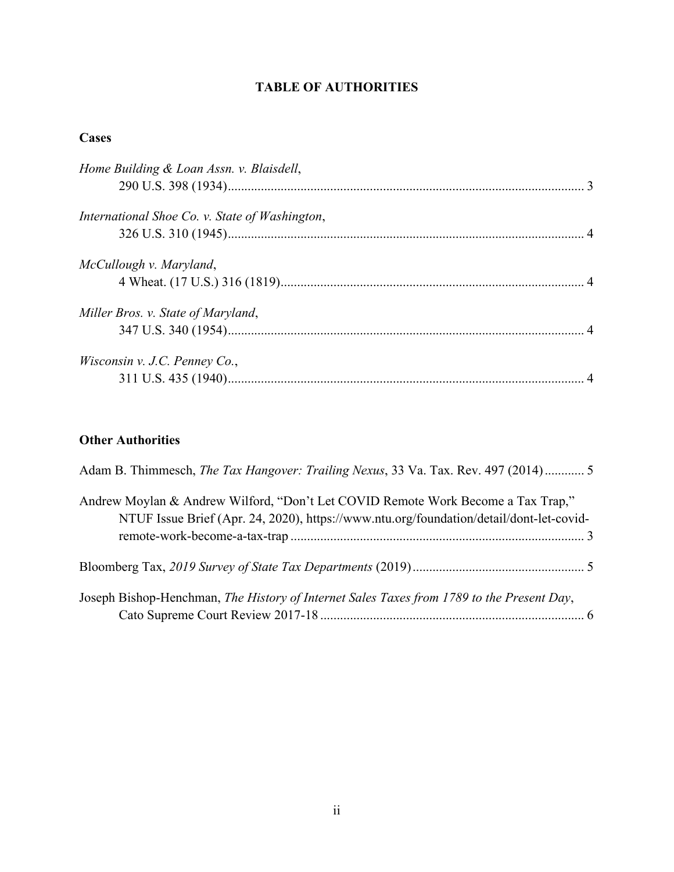# **TABLE OF AUTHORITIES**

### **Cases**

| Home Building & Loan Assn. v. Blaisdell,       |  |
|------------------------------------------------|--|
| International Shoe Co. v. State of Washington, |  |
| McCullough v. Maryland,                        |  |
| Miller Bros. v. State of Maryland,             |  |
| <i>Wisconsin v. J.C. Penney Co.,</i>           |  |

# **Other Authorities**

| Adam B. Thimmesch, The Tax Hangover: Trailing Nexus, 33 Va. Tax. Rev. 497 (2014) 5                                                                                          |  |
|-----------------------------------------------------------------------------------------------------------------------------------------------------------------------------|--|
| Andrew Moylan & Andrew Wilford, "Don't Let COVID Remote Work Become a Tax Trap,"<br>NTUF Issue Brief (Apr. 24, 2020), https://www.ntu.org/foundation/detail/dont-let-covid- |  |
|                                                                                                                                                                             |  |
| Joseph Bishop-Henchman, The History of Internet Sales Taxes from 1789 to the Present Day,                                                                                   |  |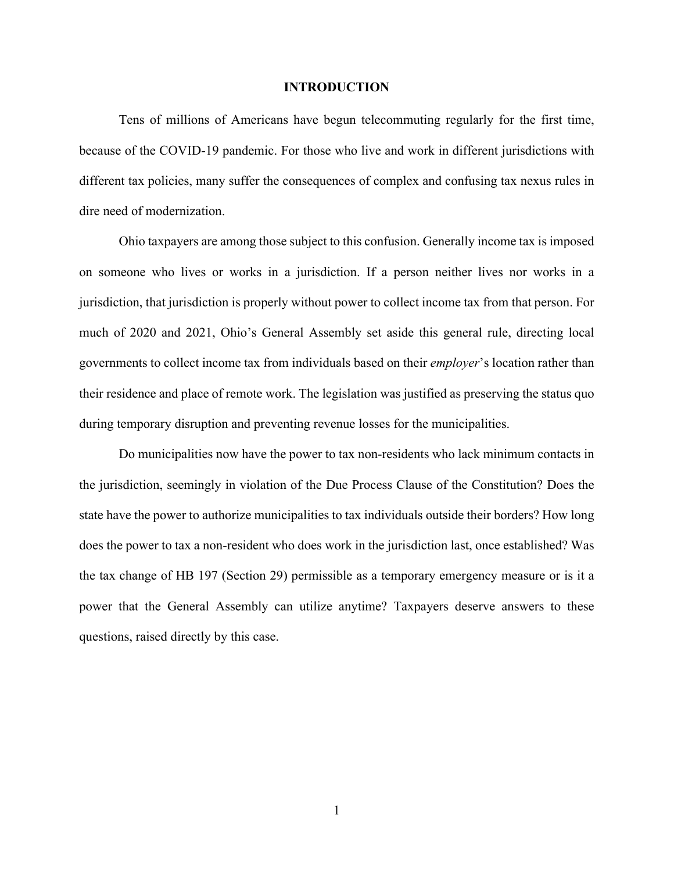#### **INTRODUCTION**

<span id="page-4-0"></span>Tens of millions of Americans have begun telecommuting regularly for the first time, because of the COVID-19 pandemic. For those who live and work in different jurisdictions with different tax policies, many suffer the consequences of complex and confusing tax nexus rules in dire need of modernization.

Ohio taxpayers are among those subject to this confusion. Generally income tax is imposed on someone who lives or works in a jurisdiction. If a person neither lives nor works in a jurisdiction, that jurisdiction is properly without power to collect income tax from that person. For much of 2020 and 2021, Ohio's General Assembly set aside this general rule, directing local governments to collect income tax from individuals based on their *employer*'s location rather than their residence and place of remote work. The legislation was justified as preserving the status quo during temporary disruption and preventing revenue losses for the municipalities.

Do municipalities now have the power to tax non-residents who lack minimum contacts in the jurisdiction, seemingly in violation of the Due Process Clause of the Constitution? Does the state have the power to authorize municipalities to tax individuals outside their borders? How long does the power to tax a non-resident who does work in the jurisdiction last, once established? Was the tax change of HB 197 (Section 29) permissible as a temporary emergency measure or is it a power that the General Assembly can utilize anytime? Taxpayers deserve answers to these questions, raised directly by this case.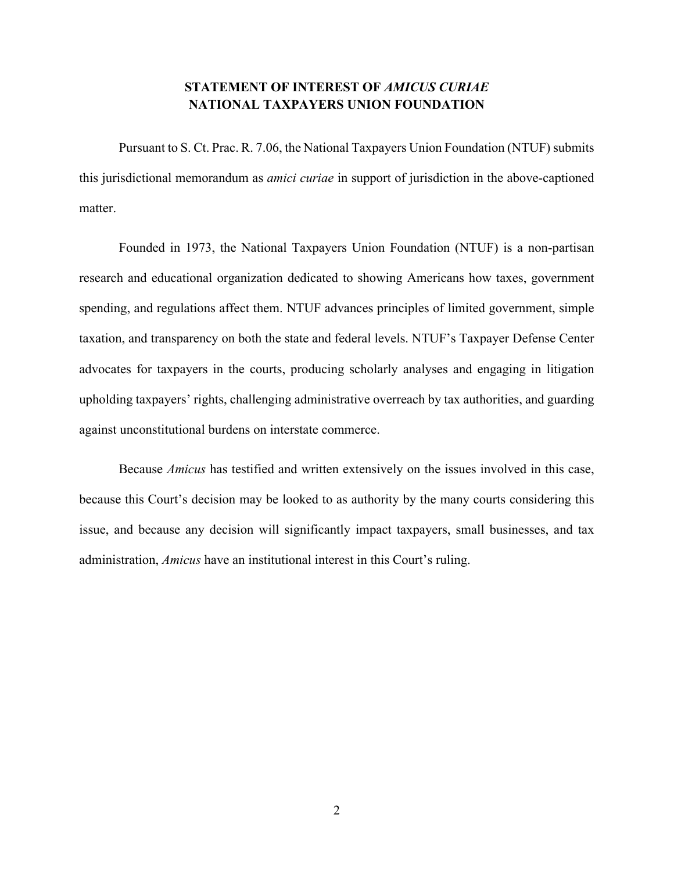## **STATEMENT OF INTEREST OF** *AMICUS CURIAE*  **NATIONAL TAXPAYERS UNION FOUNDATION**

<span id="page-5-0"></span>Pursuant to S. Ct. Prac. R. 7.06, the National Taxpayers Union Foundation (NTUF) submits this jurisdictional memorandum as *amici curiae* in support of jurisdiction in the above-captioned matter.

Founded in 1973, the National Taxpayers Union Foundation (NTUF) is a non-partisan research and educational organization dedicated to showing Americans how taxes, government spending, and regulations affect them. NTUF advances principles of limited government, simple taxation, and transparency on both the state and federal levels. NTUF's Taxpayer Defense Center advocates for taxpayers in the courts, producing scholarly analyses and engaging in litigation upholding taxpayers' rights, challenging administrative overreach by tax authorities, and guarding against unconstitutional burdens on interstate commerce.

Because *Amicus* has testified and written extensively on the issues involved in this case, because this Court's decision may be looked to as authority by the many courts considering this issue, and because any decision will significantly impact taxpayers, small businesses, and tax administration, *Amicus* have an institutional interest in this Court's ruling.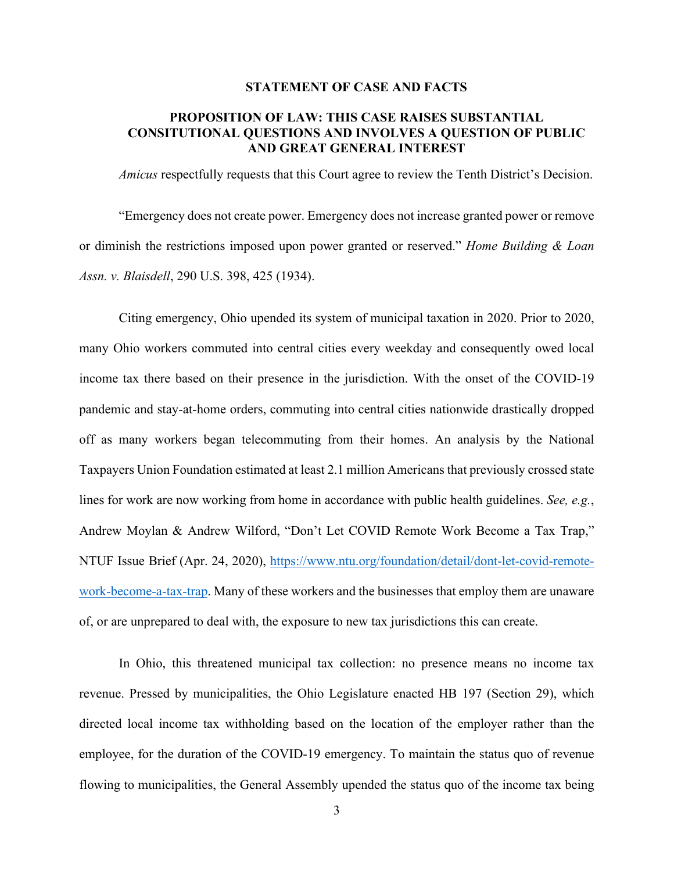#### **STATEMENT OF CASE AND FACTS**

## <span id="page-6-1"></span><span id="page-6-0"></span>**PROPOSITION OF LAW: THIS CASE RAISES SUBSTANTIAL CONSITUTIONAL QUESTIONS AND INVOLVES A QUESTION OF PUBLIC AND GREAT GENERAL INTEREST**

*Amicus* respectfully requests that this Court agree to review the Tenth District's Decision.

"Emergency does not create power. Emergency does not increase granted power or remove or diminish the restrictions imposed upon power granted or reserved." *Home Building & Loan Assn. v. Blaisdell*, 290 U.S. 398, 425 (1934).

Citing emergency, Ohio upended its system of municipal taxation in 2020. Prior to 2020, many Ohio workers commuted into central cities every weekday and consequently owed local income tax there based on their presence in the jurisdiction. With the onset of the COVID-19 pandemic and stay-at-home orders, commuting into central cities nationwide drastically dropped off as many workers began telecommuting from their homes. An analysis by the National Taxpayers Union Foundation estimated at least 2.1 million Americans that previously crossed state lines for work are now working from home in accordance with public health guidelines. *See, e.g.*, Andrew Moylan & Andrew Wilford, "Don't Let COVID Remote Work Become a Tax Trap," NTUF Issue Brief (Apr. 24, 2020), [https://www.ntu.org/foundation/detail/dont-let-covid-remote](https://www.ntu.org/foundation/detail/dont-let-covid-remote-work-become-a-tax-trap)[work-become-a-tax-trap.](https://www.ntu.org/foundation/detail/dont-let-covid-remote-work-become-a-tax-trap) Many of these workers and the businesses that employ them are unaware of, or are unprepared to deal with, the exposure to new tax jurisdictions this can create.

In Ohio, this threatened municipal tax collection: no presence means no income tax revenue. Pressed by municipalities, the Ohio Legislature enacted HB 197 (Section 29), which directed local income tax withholding based on the location of the employer rather than the employee, for the duration of the COVID-19 emergency. To maintain the status quo of revenue flowing to municipalities, the General Assembly upended the status quo of the income tax being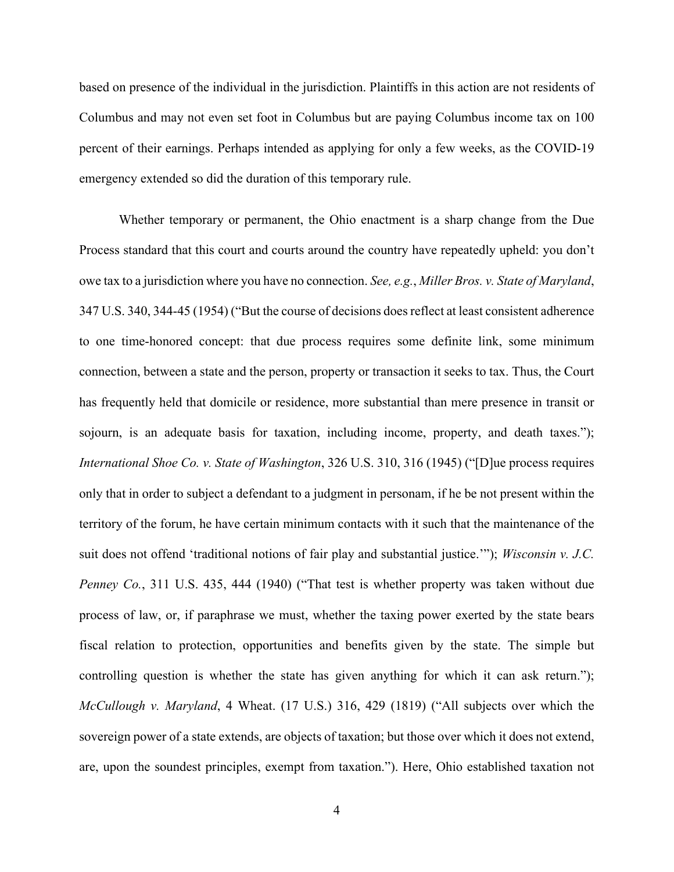based on presence of the individual in the jurisdiction. Plaintiffs in this action are not residents of Columbus and may not even set foot in Columbus but are paying Columbus income tax on 100 percent of their earnings. Perhaps intended as applying for only a few weeks, as the COVID-19 emergency extended so did the duration of this temporary rule.

Whether temporary or permanent, the Ohio enactment is a sharp change from the Due Process standard that this court and courts around the country have repeatedly upheld: you don't owe tax to a jurisdiction where you have no connection. *See, e.g.*, *Miller Bros. v. State of Maryland*, 347 U.S. 340, 344-45 (1954) ("But the course of decisions does reflect at least consistent adherence to one time-honored concept: that due process requires some definite link, some minimum connection, between a state and the person, property or transaction it seeks to tax. Thus, the Court has frequently held that domicile or residence, more substantial than mere presence in transit or sojourn, is an adequate basis for taxation, including income, property, and death taxes."); *International Shoe Co. v. State of Washington*, 326 U.S. 310, 316 (1945) ("[D]ue process requires only that in order to subject a defendant to a judgment in personam, if he be not present within the territory of the forum, he have certain minimum contacts with it such that the maintenance of the suit does not offend 'traditional notions of fair play and substantial justice.'"); *Wisconsin v. J.C. Penney Co.*, 311 U.S. 435, 444 (1940) ("That test is whether property was taken without due process of law, or, if paraphrase we must, whether the taxing power exerted by the state bears fiscal relation to protection, opportunities and benefits given by the state. The simple but controlling question is whether the state has given anything for which it can ask return."); *McCullough v. Maryland*, 4 Wheat. (17 U.S.) 316, 429 (1819) ("All subjects over which the sovereign power of a state extends, are objects of taxation; but those over which it does not extend, are, upon the soundest principles, exempt from taxation."). Here, Ohio established taxation not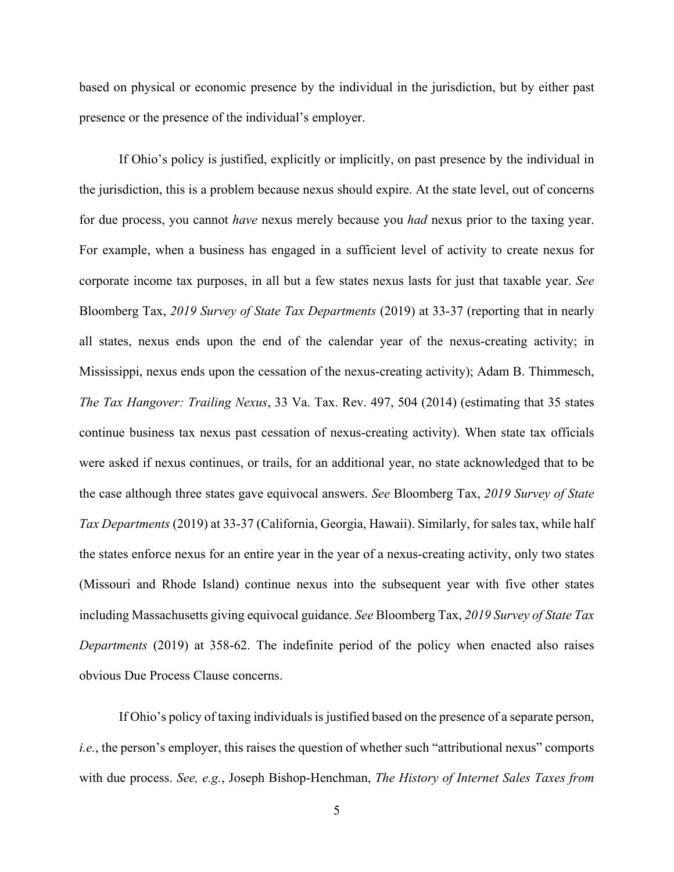based on physical or economic presence by the individual in the jurisdiction, but by either past presence or the presence of the individual's employer.

If Ohio's policy is justified, explicitly or implicitly, on past presence by the individual in the jurisdiction, this is a problem because nexus should expire. At the state level, out of concerns for due process, you cannot *have* nexus merely because you *had* nexus prior to the taxing year. For example, when a business has engaged in a sufficient level of activity to create nexus for corporate income tax purposes, in all but a few states nexus lasts for just that taxable year. *See*  Bloomberg Tax, *2019 Survey of State Tax Departments* (2019) at 33-37 (reporting that in nearly all states, nexus ends upon the end of the calendar year of the nexus-creating activity; in Mississippi, nexus ends upon the cessation of the nexus-creating activity); Adam B. Thimmesch, *The Tax Hangover: Trailing Nexus*, 33 Va. Tax. Rev. 497, 504 (2014) (estimating that 35 states continue business tax nexus past cessation of nexus-creating activity). When state tax officials were asked if nexus continues, or trails, for an additional year, no state acknowledged that to be the case although three states gave equivocal answers. *See* Bloomberg Tax, *2019 Survey of State Tax Departments* (2019) at 33-37 (California, Georgia, Hawaii). Similarly, for sales tax, while half the states enforce nexus for an entire year in the year of a nexus-creating activity, only two states (Missouri and Rhode Island) continue nexus into the subsequent year with five other states including Massachusetts giving equivocal guidance. *See* Bloomberg Tax, *2019 Survey of State Tax Departments* (2019) at 358-62. The indefinite period of the policy when enacted also raises obvious Due Process Clause concerns.

If Ohio's policy of taxing individuals is justified based on the presence of a separate person, *i.e.*, the person's employer, this raises the question of whether such "attributional nexus" comports with due process. *See, e.g.*, Joseph Bishop-Henchman, *The History of Internet Sales Taxes from*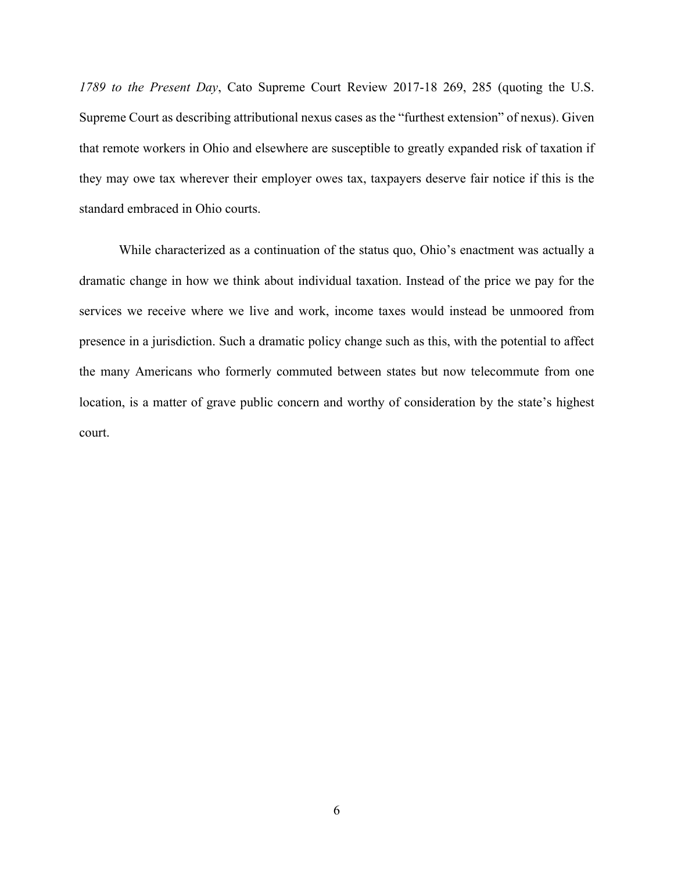*1789 to the Present Day*, Cato Supreme Court Review 2017-18 269, 285 (quoting the U.S. Supreme Court as describing attributional nexus cases as the "furthest extension" of nexus). Given that remote workers in Ohio and elsewhere are susceptible to greatly expanded risk of taxation if they may owe tax wherever their employer owes tax, taxpayers deserve fair notice if this is the standard embraced in Ohio courts.

While characterized as a continuation of the status quo, Ohio's enactment was actually a dramatic change in how we think about individual taxation. Instead of the price we pay for the services we receive where we live and work, income taxes would instead be unmoored from presence in a jurisdiction. Such a dramatic policy change such as this, with the potential to affect the many Americans who formerly commuted between states but now telecommute from one location, is a matter of grave public concern and worthy of consideration by the state's highest court.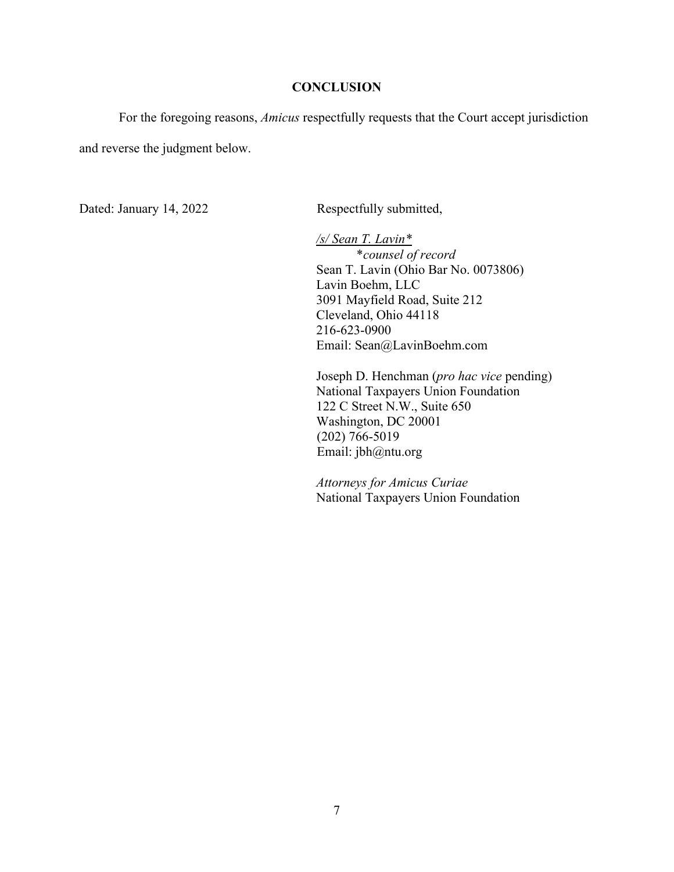#### **CONCLUSION**

<span id="page-10-0"></span>For the foregoing reasons, *Amicus* respectfully requests that the Court accept jurisdiction and reverse the judgment below.

Dated: January 14, 2022 Respectfully submitted,

*/s/ Sean T. Lavin\** \**counsel of record* Sean T. Lavin (Ohio Bar No. 0073806) Lavin Boehm, LLC 3091 Mayfield Road, Suite 212 Cleveland, Ohio 44118 216-623-0900 Email: Sean@LavinBoehm.com

Joseph D. Henchman (*pro hac vice* pending) National Taxpayers Union Foundation 122 C Street N.W., Suite 650 Washington, DC 20001 (202) 766-5019 Email: jbh@ntu.org

*Attorneys for Amicus Curiae* National Taxpayers Union Foundation